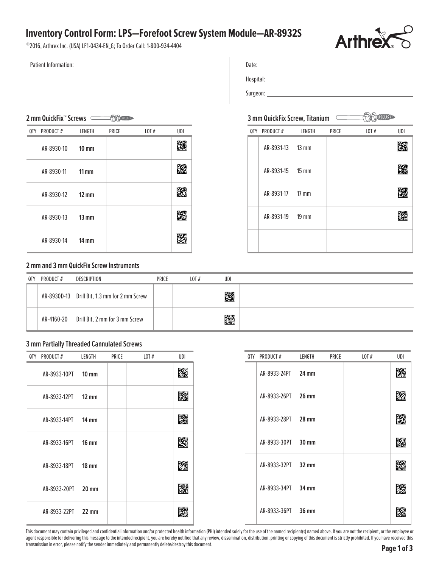## **Inventory Control Form: LPS—Forefoot Screw System Module—AR-8932S**



©2016, Arthrex Inc. (USA) LF1-0434-EN\_G; To Order Call: 1-800-934-4404

Patient Information:

## Date: AR-8933L Hospital: \_\_\_\_\_\_\_\_\_\_\_\_\_\_\_\_\_\_\_\_\_\_\_\_\_\_ Surgeon: AR-8730

### 3 mm QuickFix Screw, Titanium

|  | QTY PRODUCT#     | LENGTH | PRICE | LOT $#$ | UDI |
|--|------------------|--------|-------|---------|-----|
|  | AR-8931-13 13 mm |        |       |         |     |
|  | AR-8931-15 15 mm |        |       |         |     |
|  | AR-8931-17 17 mm |        |       |         |     |
|  | AR-8931-19 19 mm |        |       |         |     |
|  |                  |        |       |         |     |

# **2 mm QuickFix™ Screws 3 mm QuickFix Screw, Titanium** AR-8930

| 0TY | PRODUCT#   | LENGTH          | PRICE | LOT $#$ | UDI |
|-----|------------|-----------------|-------|---------|-----|
|     | AR-8930-10 | $10 \text{ mm}$ |       |         |     |
|     | AR-8930-11 | $11 \text{ mm}$ |       |         |     |
|     | AR-8930-12 | $12 \text{ mm}$ |       |         |     |
|     | AR-8930-13 | $13 \text{ mm}$ |       |         |     |
|     | AR-8930-14 | $14 \text{ mm}$ |       |         |     |

# **2 mm and 3 mm QuickFix Screw Instruments**

| 0TY | PRODUCT# | DESCRIPTION                                  | PRICE | LOT# | UDI |  |
|-----|----------|----------------------------------------------|-------|------|-----|--|
|     |          | AR-8930D-13 Drill Bit, 1.3 mm for 2 mm Screw |       |      | 鐆   |  |
|     |          | AR-4160-20 Drill Bit, 2 mm for 3 mm Screw    |       |      | K.  |  |

#### **3 mm Partially Threaded Cannulated Screws**

| PRODUCT#<br><b>OTY</b> | LENGTH          | PRICE | LOT# | UDI |
|------------------------|-----------------|-------|------|-----|
| AR-8933-10PT           | $10 \text{ mm}$ |       |      | 鐆   |
| AR-8933-12PT           | $12 \text{ mm}$ |       |      | 圈   |
| AR-8933-14PT           | $14 \text{ mm}$ |       |      | 圏   |
| AR-8933-16PT           | $16 \text{ mm}$ |       |      | 躞   |
| AR-8933-18PT           | $18 \text{ mm}$ |       |      | 躚   |
| AR-8933-20PT           | $20 \text{ mm}$ |       |      | 躚   |
| AR-8933-22PT           | $22 \text{ mm}$ |       |      | 躨   |

| QTY PRODUCT#       | LENGTH | PRICE | LOT $#$ | UDI |
|--------------------|--------|-------|---------|-----|
| AR-8933-24PT 24 mm |        |       |         |     |
| AR-8933-26PT 26 mm |        |       |         |     |
| AR-8933-28PT 28 mm |        |       |         |     |
| AR-8933-30PT 30 mm |        |       |         |     |
| AR-8933-32PT 32 mm |        |       |         |     |
| AR-8933-34PT 34 mm |        |       |         |     |
| AR-8933-36PT 36 mm |        |       |         |     |

This document may contain privileged and confidential information and/or protected health information (PHI) intended solely for the use of the named recipient(s) named above. If you are not the recipient, or the employee o agent responsible for delivering this message to the intended recipient, you are hereby notified that any review, dissemination, distribution, printing or copying of this document is strictly prohibited. If you have receiv transmission in error, please notify the sender immediately and permanently delete/destroy this document.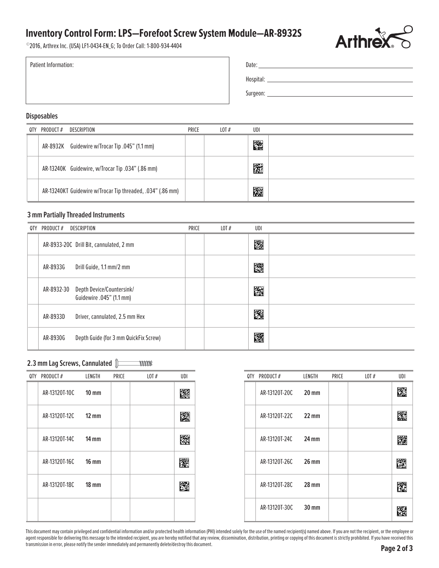## **Inventory Control Form: LPS—Forefoot Screw System Module—AR-8932S**



©2016, Arthrex Inc. (USA) LF1-0434-EN\_G; To Order Call: 1-800-934-4404

| Date:     |
|-----------|
| Hospital: |

Surgeon:

#### **Disposables**

Patient Information:

| 0TY | PRODUCT# | DESCRIPTION                                                | PRICE | LOT $#$ | UDI |  |
|-----|----------|------------------------------------------------------------|-------|---------|-----|--|
|     |          | AR-8932K Guidewire w/Trocar Tip .045" (1.1 mm)             |       |         | 躖   |  |
|     |          | AR-13240K Guidewire, w/Trocar Tip .034" (.86 mm)           |       |         | 圈   |  |
|     |          | AR-13240KT Guidewire w/Trocar Tip threaded, .034" (.86 mm) |       |         | 躖   |  |

#### **3 mm Partially Threaded Instruments**

| 0TY | PRODUCT#   | DESCRIPTION                                           | PRICE | LOT $#$ | UDI |  |
|-----|------------|-------------------------------------------------------|-------|---------|-----|--|
|     |            | AR-8933-20C Drill Bit, cannulated, 2 mm               |       |         | 鐆   |  |
|     | AR-8933G   | Drill Guide, 1.1 mm/2 mm                              |       |         | 飂   |  |
|     | AR-8932-30 | Depth Device/Countersink/<br>Guidewire .045" (1.1 mm) |       |         | 躚   |  |
|     | AR-8933D   | Driver, cannulated, 2.5 mm Hex                        |       |         | 躩   |  |
|     | AR-8930G   | Depth Guide (for 3 mm QuickFix Screw)                 |       |         | 躚   |  |

#### **2.3 mm Lag Screws, Cannulated With**

| QTY PRODUCT#  | LENGTH            | PRICE | LOT $#$ | UDI | 0TY | PRODUCT#      | LENGTH          | PRICE | LOT# | UDI |
|---------------|-------------------|-------|---------|-----|-----|---------------|-----------------|-------|------|-----|
| AR-13120T-10C | $10 \, \text{mm}$ |       |         | 飂   |     | AR-13120T-20C | $20 \text{ mm}$ |       |      | 圈   |
| AR-13120T-12C | $12 \text{ mm}$   |       |         | 灐   |     | AR-13120T-22C | $22 \text{ mm}$ |       |      | 鐆   |
| AR-13120T-14C | $14 \text{ mm}$   |       |         | 鐆   |     | AR-13120T-24C | $24 \text{ mm}$ |       |      | 隧   |
| AR-13120T-16C | $16 \text{ mm}$   |       |         | 飂   |     | AR-13120T-26C | $26 \text{ mm}$ |       |      | 圏   |
| AR-13120T-18C | $18 \text{ mm}$   |       |         | 躖   |     | AR-13120T-28C | $28 \text{ mm}$ |       |      | 隱   |
|               |                   |       |         |     |     | AR-13120T-30C | $30 \text{ mm}$ |       |      | 蹘   |

| 0TY | PRODUCT#            | LENGTH          | PRICE | LOT# | UDI |
|-----|---------------------|-----------------|-------|------|-----|
|     | AR-13120T-20C       | 20 mm           |       |      |     |
|     | AR-13120T-22C 22 mm |                 |       |      |     |
|     | AR-13120T-24C 24 mm |                 |       |      |     |
|     | AR-13120T-26C       | 26 mm           |       |      |     |
|     | AR-13120T-28C 28 mm |                 |       |      |     |
|     | AR-13120T-30C       | $30 \text{ mm}$ |       |      |     |

This document may contain privileged and confidential information and/or protected health information (PHI) intended solely for the use of the named recipient(s) named above. If you are not the recipient, or the employee o agent responsible for delivering this message to the intended recipient, you are hereby notified that any review, dissemination, distribution, printing or copying of this document is strictly prohibited. If you have receiv transmission in error, please notify the sender immediately and permanently delete/destroy this document.